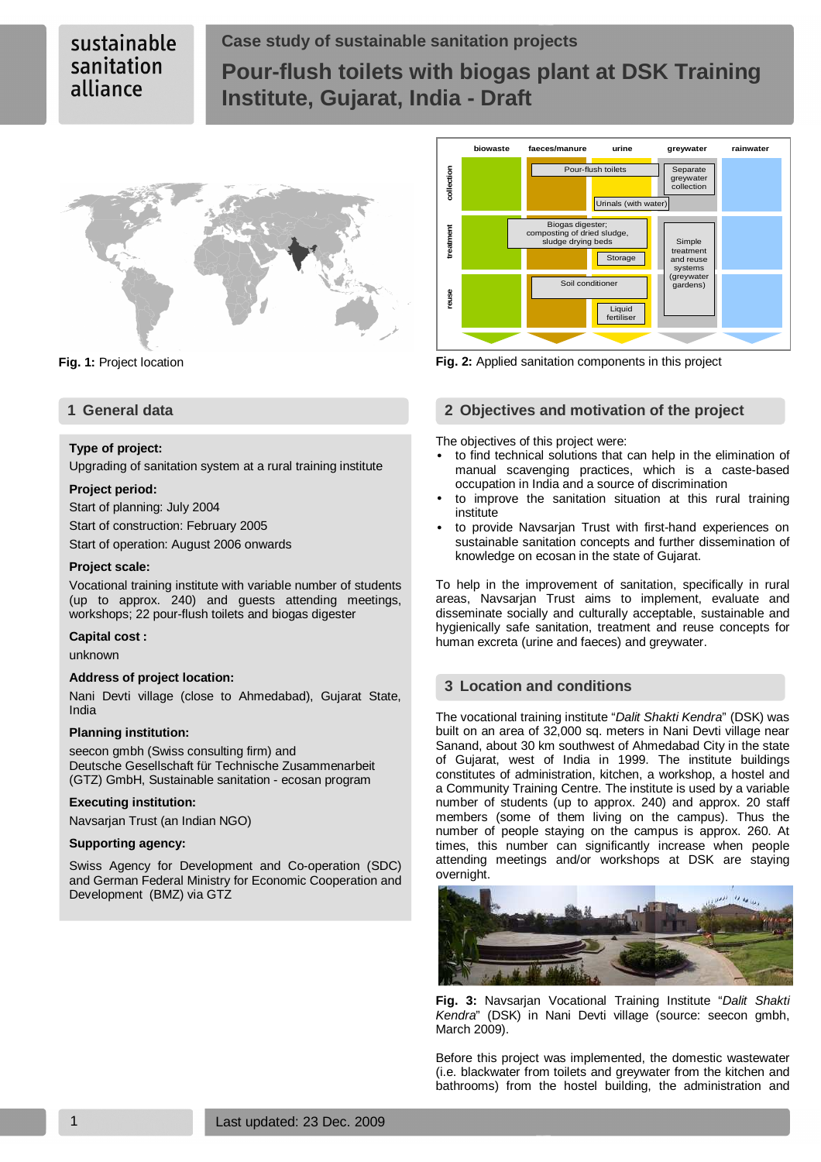# **Case study of sustainable sanitation projects Pour-flush toilets with biogas plant at DSK Training Institute, Gujarat, India - Draft**



# **Type of project:**

Upgrading of sanitation system at a rural training institute

# **Project period:**

Start of planning: July 2004 Start of construction: February 2005 Start of operation: August 2006 onwards

# **Project scale:**

Vocational training institute with variable number of students (up to approx. 240) and guests attending meetings, workshops; 22 pour-flush toilets and biogas digester

# **Capital cost :**

unknown

# **Address of project location:**

Nani Devti village (close to Ahmedabad), Gujarat State, India

# **Planning institution:**

seecon gmbh (Swiss consulting firm) and Deutsche Gesellschaft für Technische Zusammenarbeit (GTZ) GmbH, Sustainable sanitation - ecosan program

# **Executing institution:**

Navsarjan Trust (an Indian NGO)

# **Supporting agency:**

Swiss Agency for Development and Co-operation (SDC) and German Federal Ministry for Economic Cooperation and Development (BMZ) via GTZ



**Fig. 1:** Project location **Fig. 2:** Applied sanitation components in this project

# **1 General data 2 Objectives and motivation of the project**

The objectives of this project were:

- to find technical solutions that can help in the elimination of manual scavenging practices, which is a caste-based occupation in India and a source of discrimination
- to improve the sanitation situation at this rural training institute
- to provide Navsarjan Trust with first-hand experiences on sustainable sanitation concepts and further dissemination of knowledge on ecosan in the state of Gujarat.

To help in the improvement of sanitation, specifically in rural areas, Navsarjan Trust aims to implement, evaluate and disseminate socially and culturally acceptable, sustainable and hygienically safe sanitation, treatment and reuse concepts for human excreta (urine and faeces) and greywater.

# **3 Location and conditions**

The vocational training institute "Dalit Shakti Kendra" (DSK) was built on an area of 32,000 sq. meters in Nani Devti village near Sanand, about 30 km southwest of Ahmedabad City in the state of Gujarat, west of India in 1999. The institute buildings constitutes of administration, kitchen, a workshop, a hostel and a Community Training Centre. The institute is used by a variable number of students (up to approx. 240) and approx. 20 staff members (some of them living on the campus). Thus the number of people staying on the campus is approx. 260. At times, this number can significantly increase when people attending meetings and/or workshops at DSK are staying overnight.



**Fig. 3:** Navsarjan Vocational Training Institute "Dalit Shakti Kendra" (DSK) in Nani Devti village (source: seecon gmbh, March 2009).

Before this project was implemented, the domestic wastewater (i.e. blackwater from toilets and greywater from the kitchen and bathrooms) from the hostel building, the administration and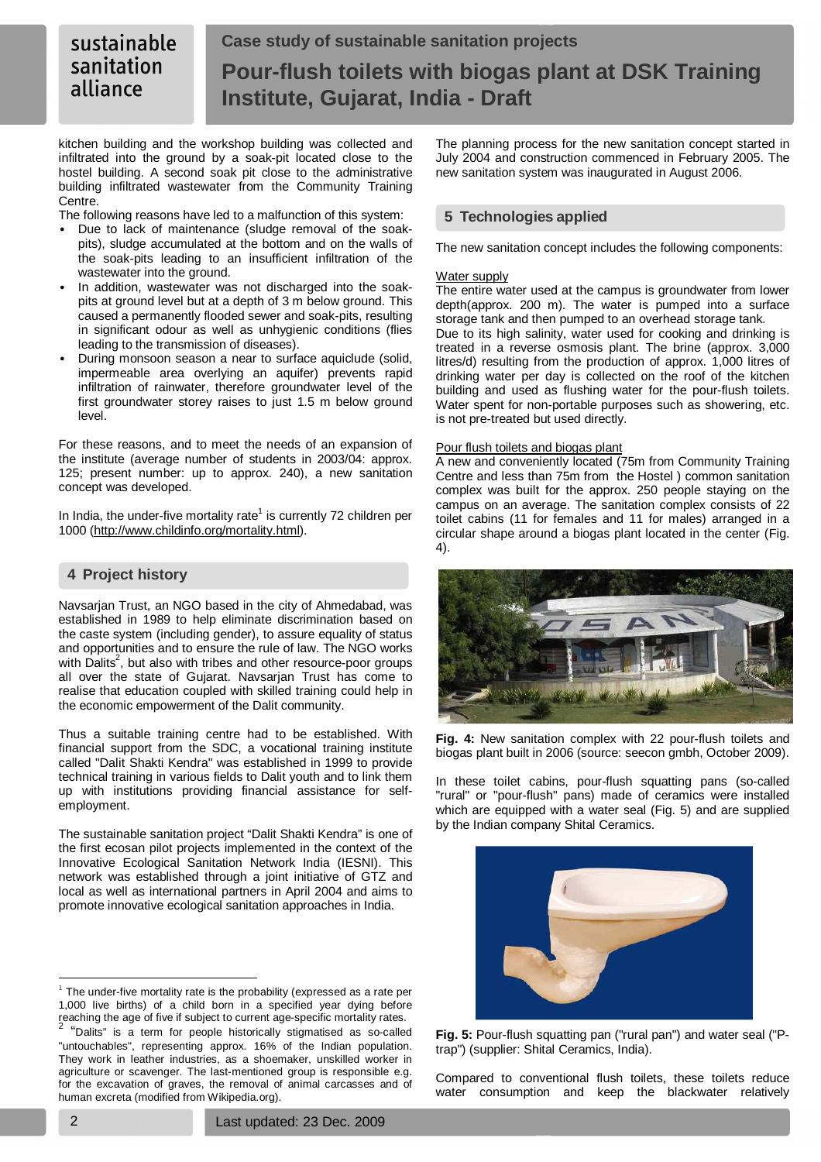#### sustainable **Case study of sustainable sanitation projects**  sanitation **Pour-flush toilets with biogas plant at DSK Training**  alliance **Institute, Gujarat, India - Draft**

kitchen building and the workshop building was collected and infiltrated into the ground by a soak-pit located close to the hostel building. A second soak pit close to the administrative building infiltrated wastewater from the Community Training Centre.

The following reasons have led to a malfunction of this system:

- Due to lack of maintenance (sludge removal of the soakpits), sludge accumulated at the bottom and on the walls of the soak-pits leading to an insufficient infiltration of the wastewater into the ground.
- In addition, wastewater was not discharged into the soakpits at ground level but at a depth of 3 m below ground. This caused a permanently flooded sewer and soak-pits, resulting in significant odour as well as unhygienic conditions (flies leading to the transmission of diseases).
- During monsoon season a near to surface aquiclude (solid, impermeable area overlying an aquifer) prevents rapid infiltration of rainwater, therefore groundwater level of the first groundwater storey raises to just 1.5 m below ground level.

For these reasons, and to meet the needs of an expansion of the institute (average number of students in 2003/04: approx. 125; present number: up to approx. 240), a new sanitation concept was developed.

In India, the under-five mortality rate<sup>1</sup> is currently 72 children per 1000 (http://www.childinfo.org/mortality.html).

# **4 Project history**

Navsarjan Trust, an NGO based in the city of Ahmedabad, was established in 1989 to help eliminate discrimination based on the caste system (including gender), to assure equality of status and opportunities and to ensure the rule of law. The NGO works with  $\dot{\text{D}}$ alits<sup>2</sup>, but also with tribes and other resource-poor groups all over the state of Gujarat. Navsarjan Trust has come to realise that education coupled with skilled training could help in the economic empowerment of the Dalit community.

Thus a suitable training centre had to be established. With financial support from the SDC, a vocational training institute called "Dalit Shakti Kendra" was established in 1999 to provide technical training in various fields to Dalit youth and to link them up with institutions providing financial assistance for selfemployment.

The sustainable sanitation project "Dalit Shakti Kendra" is one of the first ecosan pilot projects implemented in the context of the Innovative Ecological Sanitation Network India (IESNI). This network was established through a joint initiative of GTZ and local as well as international partners in April 2004 and aims to promote innovative ecological sanitation approaches in India.

 $1$  The under-five mortality rate is the probability (expressed as a rate per 1,000 live births) of a child born in a specified year dying before reaching the age of five if subject to current age-specific mortality rates. 2 "Dalits" is a term for people historically stigmatised as so-called The planning process for the new sanitation concept started in July 2004 and construction commenced in February 2005. The new sanitation system was inaugurated in August 2006.

# **5 Technologies applied**

The new sanitation concept includes the following components:

# Water supply

The entire water used at the campus is groundwater from lower depth(approx. 200 m). The water is pumped into a surface storage tank and then pumped to an overhead storage tank.

Due to its high salinity, water used for cooking and drinking is treated in a reverse osmosis plant. The brine (approx. 3,000 litres/d) resulting from the production of approx. 1,000 litres of drinking water per day is collected on the roof of the kitchen building and used as flushing water for the pour-flush toilets. Water spent for non-portable purposes such as showering, etc. is not pre-treated but used directly.

# Pour flush toilets and biogas plant

A new and conveniently located (75m from Community Training Centre and less than 75m from the Hostel ) common sanitation complex was built for the approx. 250 people staying on the campus on an average. The sanitation complex consists of 22 toilet cabins (11 for females and 11 for males) arranged in a circular shape around a biogas plant located in the center (Fig. 4).



**Fig. 4:** New sanitation complex with 22 pour-flush toilets and biogas plant built in 2006 (source: seecon gmbh, October 2009).

In these toilet cabins, pour-flush squatting pans (so-called "rural" or "pour-flush" pans) made of ceramics were installed which are equipped with a water seal (Fig. 5) and are supplied by the Indian company Shital Ceramics.



**Fig. 5:** Pour-flush squatting pan ("rural pan") and water seal ("Ptrap") (supplier: Shital Ceramics, India).

Compared to conventional flush toilets, these toilets reduce water consumption and keep the blackwater relatively

 $\overline{a}$ 

<sup>&</sup>quot;untouchables", representing approx. 16% of the Indian population. They work in leather industries, as a shoemaker, unskilled worker in agriculture or scavenger. The last-mentioned group is responsible e.g. for the excavation of graves, the removal of animal carcasses and of human excreta (modified from Wikipedia.org).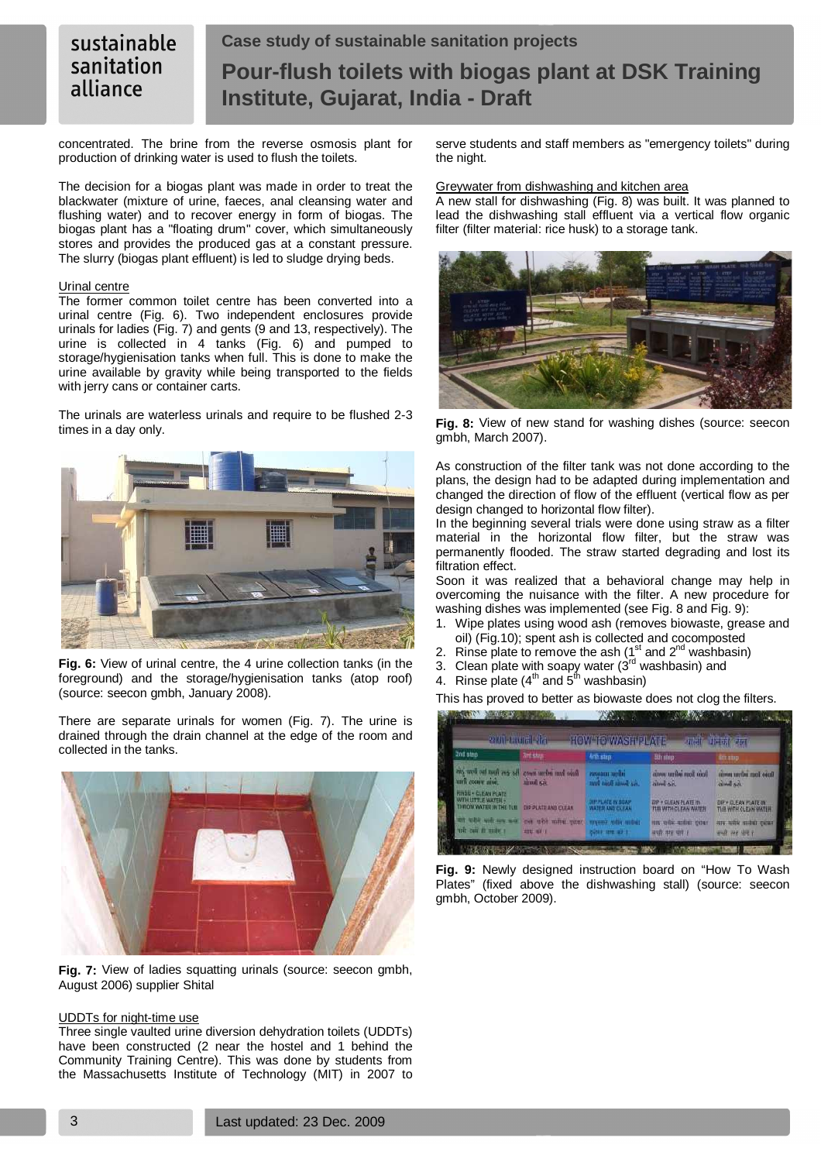#### sustainable **Case study of sustainable sanitation projects**  sanitation **Pour-flush toilets with biogas plant at DSK Training**  alliance **Institute, Gujarat, India - Draft**

concentrated. The brine from the reverse osmosis plant for production of drinking water is used to flush the toilets.

The decision for a biogas plant was made in order to treat the blackwater (mixture of urine, faeces, anal cleansing water and flushing water) and to recover energy in form of biogas. The biogas plant has a "floating drum" cover, which simultaneously stores and provides the produced gas at a constant pressure. The slurry (biogas plant effluent) is led to sludge drying beds.

# Urinal centre

The former common toilet centre has been converted into a urinal centre (Fig. 6). Two independent enclosures provide urinals for ladies (Fig. 7) and gents (9 and 13, respectively). The urine is collected in 4 tanks (Fig. 6) and pumped to storage/hygienisation tanks when full. This is done to make the urine available by gravity while being transported to the fields with jerry cans or container carts.

The urinals are waterless urinals and require to be flushed 2-3 times in a day only.



**Fig. 6:** View of urinal centre, the 4 urine collection tanks (in the foreground) and the storage/hygienisation tanks (atop roof) (source: seecon gmbh, January 2008).

There are separate urinals for women (Fig. 7). The urine is drained through the drain channel at the edge of the room and collected in the tanks.



**Fig. 7:** View of ladies squatting urinals (source: seecon gmbh, August 2006) supplier Shital

# UDDTs for night-time use

Three single vaulted urine diversion dehydration toilets (UDDTs) have been constructed (2 near the hostel and 1 behind the Community Training Centre). This was done by students from the Massachusetts Institute of Technology (MIT) in 2007 to

serve students and staff members as "emergency toilets" during the night.

#### Greywater from dishwashing and kitchen area

A new stall for dishwashing (Fig. 8) was built. It was planned to lead the dishwashing stall effluent via a vertical flow organic filter (filter material: rice husk) to a storage tank.



**Fig. 8:** View of new stand for washing dishes (source: seecon gmbh, March 2007).

As construction of the filter tank was not done according to the plans, the design had to be adapted during implementation and changed the direction of flow of the effluent (vertical flow as per design changed to horizontal flow filter).

In the beginning several trials were done using straw as a filter material in the horizontal flow filter, but the straw was permanently flooded. The straw started degrading and lost its filtration effect.

Soon it was realized that a behavioral change may help in overcoming the nuisance with the filter. A new procedure for washing dishes was implemented (see Fig. 8 and Fig. 9):

- 1. Wipe plates using wood ash (removes biowaste, grease and oil) (Fig.10); spent ash is collected and cocomposted
- 2. Rinse plate to remove the ash  $(1<sup>st</sup>$  and  $2<sup>nd</sup>$  washbasin)
- 3. Clean plate with soapy water  $(3^{rd}$  washbasin) and
- 4. Rinse plate ( $4^{th}$  and  $5^{th}$  washbasin)

This has proved to better as biowaste does not clog the filters.



**Fig. 9:** Newly designed instruction board on "How To Wash Plates" (fixed above the dishwashing stall) (source: seecon gmbh, October 2009).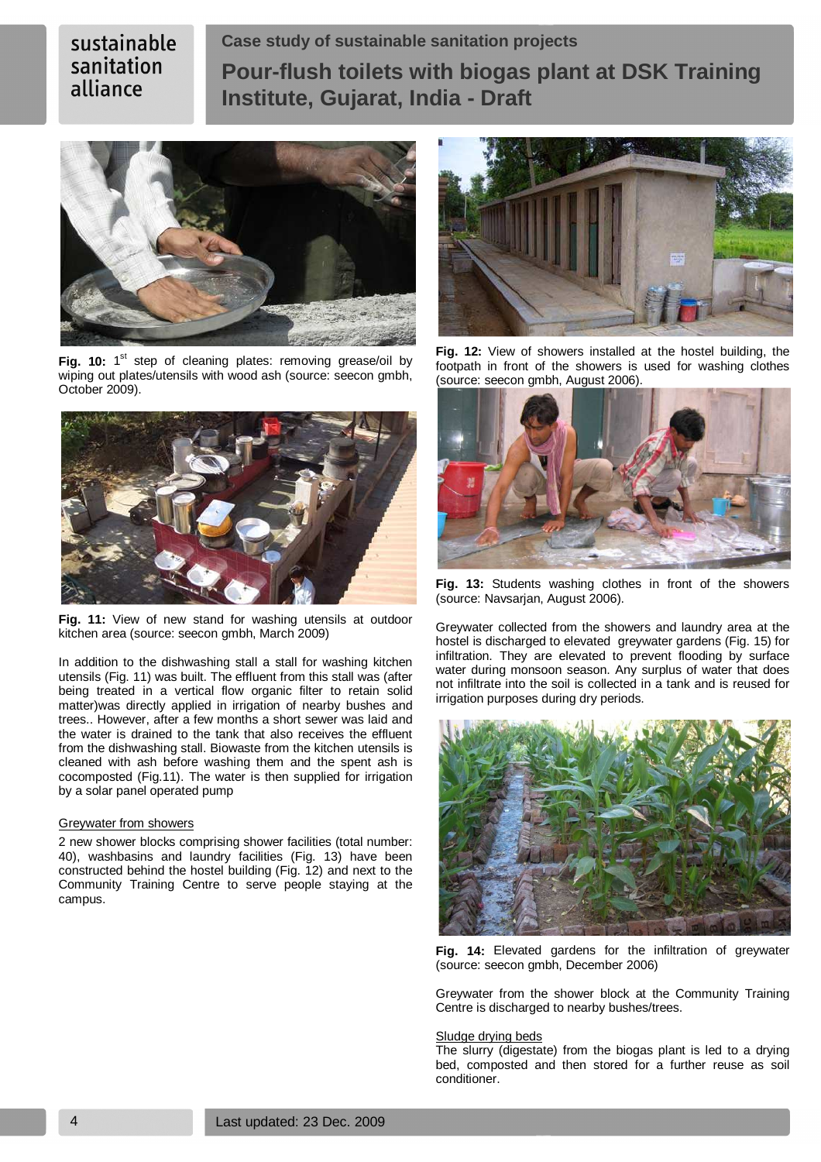**Case study of sustainable sanitation projects Pour-flush toilets with biogas plant at DSK Training Institute, Gujarat, India - Draft** 



Fig. 10: 1<sup>st</sup> step of cleaning plates: removing grease/oil by wiping out plates/utensils with wood ash (source: seecon gmbh, October 2009).



**Fig. 11:** View of new stand for washing utensils at outdoor kitchen area (source: seecon gmbh, March 2009)

In addition to the dishwashing stall a stall for washing kitchen utensils (Fig. 11) was built. The effluent from this stall was (after being treated in a vertical flow organic filter to retain solid matter)was directly applied in irrigation of nearby bushes and trees.. However, after a few months a short sewer was laid and the water is drained to the tank that also receives the effluent from the dishwashing stall. Biowaste from the kitchen utensils is cleaned with ash before washing them and the spent ash is cocomposted (Fig.11). The water is then supplied for irrigation by a solar panel operated pump

# Greywater from showers

2 new shower blocks comprising shower facilities (total number: 40), washbasins and laundry facilities (Fig. 13) have been constructed behind the hostel building (Fig. 12) and next to the Community Training Centre to serve people staying at the campus.



**Fig. 12:** View of showers installed at the hostel building, the footpath in front of the showers is used for washing clothes (source: seecon gmbh, August 2006).



**Fig. 13:** Students washing clothes in front of the showers (source: Navsarjan, August 2006).

Greywater collected from the showers and laundry area at the hostel is discharged to elevated greywater gardens (Fig. 15) for infiltration. They are elevated to prevent flooding by surface water during monsoon season. Any surplus of water that does not infiltrate into the soil is collected in a tank and is reused for irrigation purposes during dry periods.



**Fig. 14:** Elevated gardens for the infiltration of greywater (source: seecon gmbh, December 2006)

Greywater from the shower block at the Community Training Centre is discharged to nearby bushes/trees.

#### Sludge drying beds

The slurry (digestate) from the biogas plant is led to a drying bed, composted and then stored for a further reuse as soil conditioner.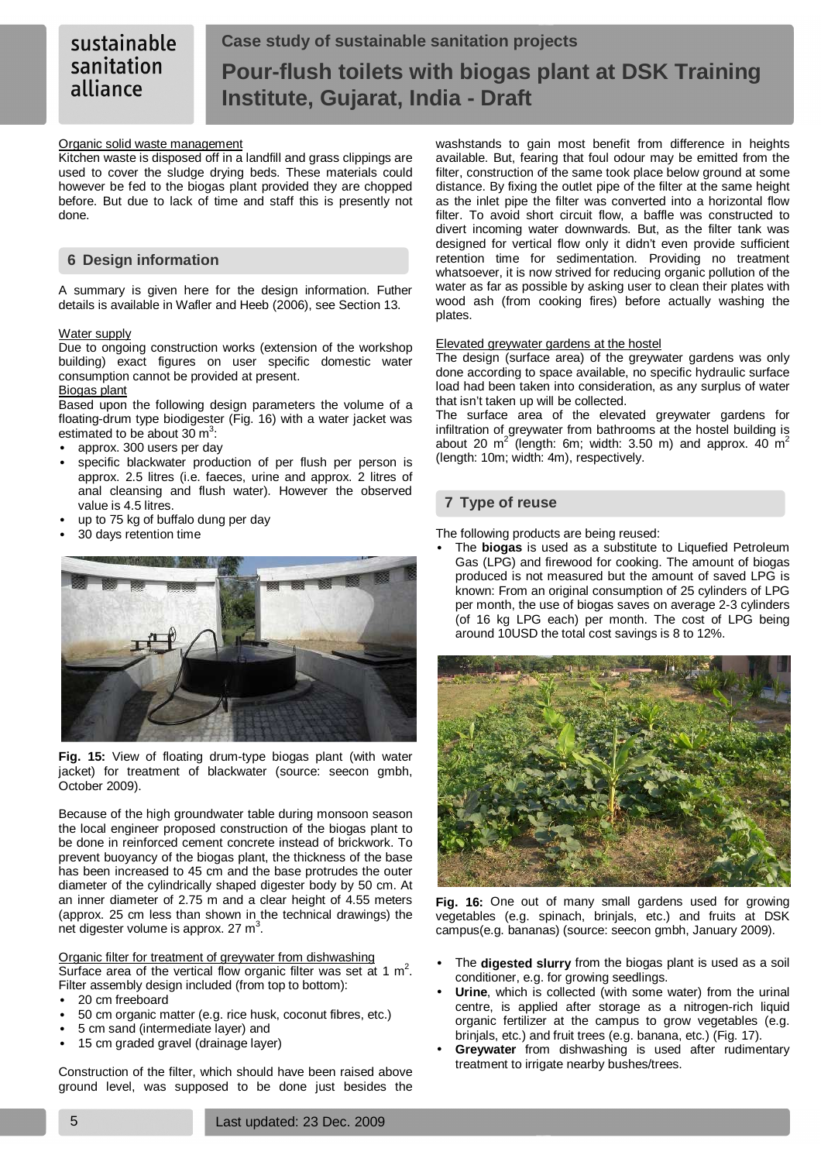# **Case study of sustainable sanitation projects Pour-flush toilets with biogas plant at DSK Training Institute, Gujarat, India - Draft**

# Organic solid waste management

Kitchen waste is disposed off in a landfill and grass clippings are used to cover the sludge drying beds. These materials could however be fed to the biogas plant provided they are chopped before. But due to lack of time and staff this is presently not done.

# **6 Design information**

A summary is given here for the design information. Futher details is available in Wafler and Heeb (2006), see Section 13.

# Water supply

Due to ongoing construction works (extension of the workshop building) exact figures on user specific domestic water consumption cannot be provided at present.

# Biogas plant

Based upon the following design parameters the volume of a floating-drum type biodigester (Fig. 16) with a water jacket was estimated to be about  $30 \text{ m}^3$ :

- approx. 300 users per day
- specific blackwater production of per flush per person is approx. 2.5 litres (i.e. faeces, urine and approx. 2 litres of anal cleansing and flush water). However the observed value is 4.5 litres.
- up to 75 kg of buffalo dung per day
- 30 days retention time



**Fig. 15:** View of floating drum-type biogas plant (with water jacket) for treatment of blackwater (source: seecon gmbh, October 2009).

Because of the high groundwater table during monsoon season the local engineer proposed construction of the biogas plant to be done in reinforced cement concrete instead of brickwork. To prevent buoyancy of the biogas plant, the thickness of the base has been increased to 45 cm and the base protrudes the outer diameter of the cylindrically shaped digester body by 50 cm. At an inner diameter of 2.75 m and a clear height of 4.55 meters (approx. 25 cm less than shown in the technical drawings) the net digester volume is approx. 27  $m^3$ .

# Organic filter for treatment of greywater from dishwashing

Surface area of the vertical flow organic filter was set at 1  $m^2$ . Filter assembly design included (from top to bottom):

- 20 cm freeboard
- 50 cm organic matter (e.g. rice husk, coconut fibres, etc.)
- 5 cm sand (intermediate layer) and
- 15 cm graded gravel (drainage layer)

Construction of the filter, which should have been raised above ground level, was supposed to be done just besides the washstands to gain most benefit from difference in heights available. But, fearing that foul odour may be emitted from the filter, construction of the same took place below ground at some distance. By fixing the outlet pipe of the filter at the same height as the inlet pipe the filter was converted into a horizontal flow filter. To avoid short circuit flow, a baffle was constructed to divert incoming water downwards. But, as the filter tank was designed for vertical flow only it didn't even provide sufficient retention time for sedimentation. Providing no treatment whatsoever, it is now strived for reducing organic pollution of the water as far as possible by asking user to clean their plates with wood ash (from cooking fires) before actually washing the plates.

# Elevated greywater gardens at the hostel

The design (surface area) of the greywater gardens was only done according to space available, no specific hydraulic surface load had been taken into consideration, as any surplus of water that isn't taken up will be collected.

The surface area of the elevated greywater gardens for infiltration of greywater from bathrooms at the hostel building is about 20  $m^2$  (length: 6m; width: 3.50 m) and approx. 40  $m^2$ (length: 10m; width: 4m), respectively.

# **7 Type of reuse**

The following products are being reused:

• The **biogas** is used as a substitute to Liquefied Petroleum Gas (LPG) and firewood for cooking. The amount of biogas produced is not measured but the amount of saved LPG is known: From an original consumption of 25 cylinders of LPG per month, the use of biogas saves on average 2-3 cylinders (of 16 kg LPG each) per month. The cost of LPG being around 10USD the total cost savings is 8 to 12%.



**Fig. 16:** One out of many small gardens used for growing vegetables (e.g. spinach, brinjals, etc.) and fruits at DSK campus(e.g. bananas) (source: seecon gmbh, January 2009).

- The **digested slurry** from the biogas plant is used as a soil conditioner, e.g. for growing seedlings.
- **Urine**, which is collected (with some water) from the urinal centre, is applied after storage as a nitrogen-rich liquid organic fertilizer at the campus to grow vegetables (e.g. brinjals, etc.) and fruit trees (e.g. banana, etc.) (Fig. 17).
- **Greywater** from dishwashing is used after rudimentary treatment to irrigate nearby bushes/trees.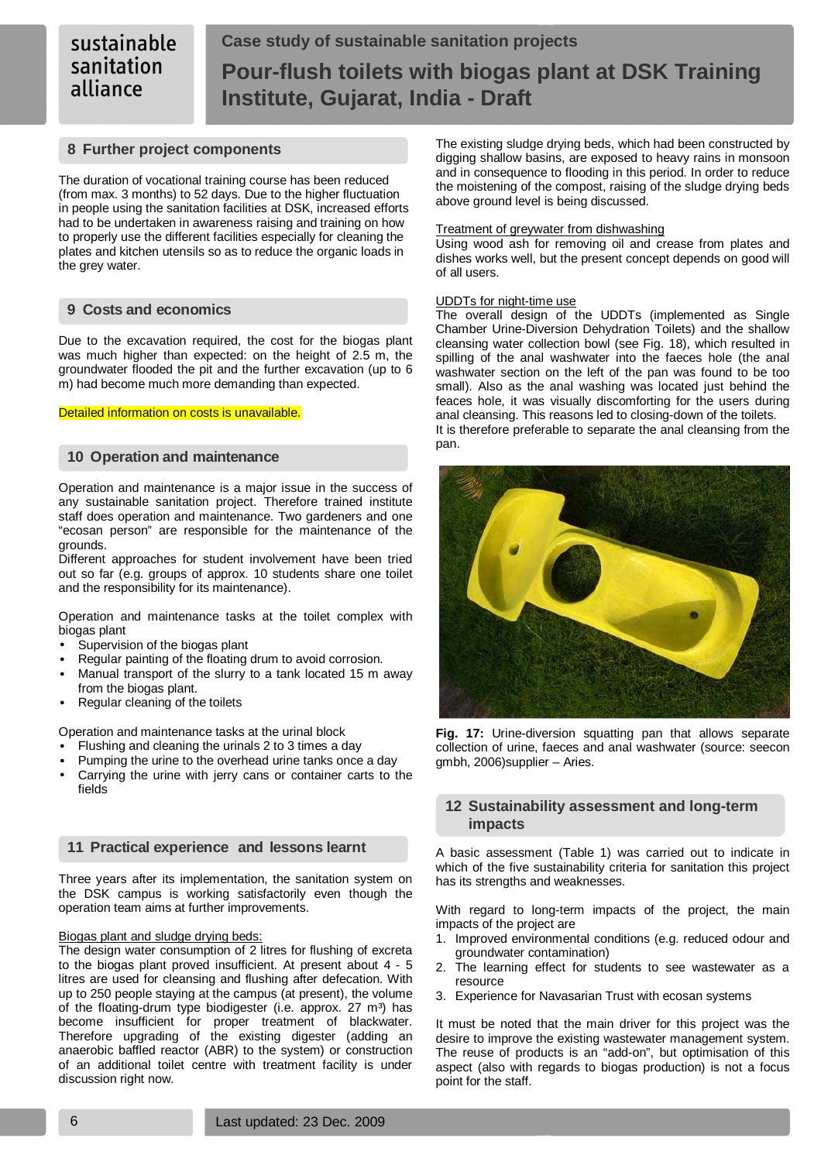# **Case study of sustainable sanitation projects Pour-flush toilets with biogas plant at DSK Training Institute, Gujarat, India - Draft**

# **8 Further project components**

The duration of vocational training course has been reduced (from max. 3 months) to 52 days. Due to the higher fluctuation in people using the sanitation facilities at DSK, increased efforts had to be undertaken in awareness raising and training on how to properly use the different facilities especially for cleaning the plates and kitchen utensils so as to reduce the organic loads in the grey water.

# **9 Costs and economics**

Due to the excavation required, the cost for the biogas plant was much higher than expected: on the height of 2.5 m, the groundwater flooded the pit and the further excavation (up to 6 m) had become much more demanding than expected.

# Detailed information on costs is unavailable.

# **10 Operation and maintenance**

Operation and maintenance is a major issue in the success of any sustainable sanitation project. Therefore trained institute staff does operation and maintenance. Two gardeners and one "ecosan person" are responsible for the maintenance of the grounds.

Different approaches for student involvement have been tried out so far (e.g. groups of approx. 10 students share one toilet and the responsibility for its maintenance).

Operation and maintenance tasks at the toilet complex with biogas plant

- Supervision of the biogas plant
- Regular painting of the floating drum to avoid corrosion.
- Manual transport of the slurry to a tank located 15 m away from the biogas plant.
- Regular cleaning of the toilets

Operation and maintenance tasks at the urinal block

- Flushing and cleaning the urinals 2 to 3 times a day
- Pumping the urine to the overhead urine tanks once a day
- Carrying the urine with jerry cans or container carts to the fields

# **11 Practical experience and lessons learnt**

Three years after its implementation, the sanitation system on the DSK campus is working satisfactorily even though the operation team aims at further improvements.

# Biogas plant and sludge drying beds:

The design water consumption of 2 litres for flushing of excreta to the biogas plant proved insufficient. At present about 4 - 5 litres are used for cleansing and flushing after defecation. With up to 250 people staying at the campus (at present), the volume of the floating-drum type biodigester (i.e. approx. 27 m<sup>3</sup>) has become insufficient for proper treatment of blackwater. Therefore upgrading of the existing digester (adding an anaerobic baffled reactor (ABR) to the system) or construction of an additional toilet centre with treatment facility is under discussion right now.

The existing sludge drying beds, which had been constructed by digging shallow basins, are exposed to heavy rains in monsoon and in consequence to flooding in this period. In order to reduce the moistening of the compost, raising of the sludge drying beds above ground level is being discussed.

# Treatment of greywater from dishwashing

Using wood ash for removing oil and crease from plates and dishes works well, but the present concept depends on good will of all users.

# UDDTs for night-time use

The overall design of the UDDTs (implemented as Single Chamber Urine-Diversion Dehydration Toilets) and the shallow cleansing water collection bowl (see Fig. 18), which resulted in spilling of the anal washwater into the faeces hole (the anal washwater section on the left of the pan was found to be too small). Also as the anal washing was located just behind the feaces hole, it was visually discomforting for the users during anal cleansing. This reasons led to closing-down of the toilets. It is therefore preferable to separate the anal cleansing from the pan.



**Fig. 17:** Urine-diversion squatting pan that allows separate collection of urine, faeces and anal washwater (source: seecon gmbh, 2006)supplier – Aries.

# **12 Sustainability assessment and long-term impacts**

A basic assessment (Table 1) was carried out to indicate in which of the five sustainability criteria for sanitation this project has its strengths and weaknesses.

With regard to long-term impacts of the project, the main impacts of the project are

- 1. Improved environmental conditions (e.g. reduced odour and groundwater contamination)
- 2. The learning effect for students to see wastewater as a resource
- 3. Experience for Navasarian Trust with ecosan systems

It must be noted that the main driver for this project was the desire to improve the existing wastewater management system. The reuse of products is an "add-on", but optimisation of this aspect (also with regards to biogas production) is not a focus point for the staff.